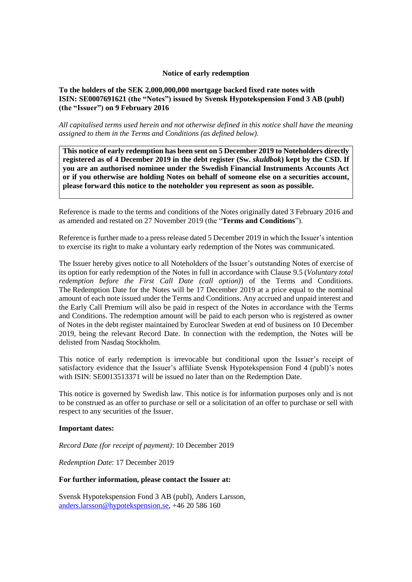#### **Notice of early redemption**

### **To the holders of the SEK 2,000,000,000 mortgage backed fixed rate notes with ISIN: SE0007691621 (the "Notes") issued by Svensk Hypotekspension Fond 3 AB (publ) (the "Issuer") on 9 February 2016**

*All capitalised terms used herein and not otherwise defined in this notice shall have the meaning assigned to them in the Terms and Conditions (as defined below).*

**This notice of early redemption has been sent on 5 December 2019 to Noteholders directly registered as of 4 December 2019 in the debt register (Sw.** *skuldbok***) kept by the CSD. If you are an authorised nominee under the Swedish Financial Instruments Accounts Act or if you otherwise are holding Notes on behalf of someone else on a securities account, please forward this notice to the noteholder you represent as soon as possible.**

Reference is made to the terms and conditions of the Notes originally dated 3 February 2016 and as amended and restated on 27 November 2019 (the "**Terms and Conditions**").

Reference is further made to a press release dated 5 December 2019 in which the Issuer's intention to exercise its right to make a voluntary early redemption of the Notes was communicated.

The Issuer hereby gives notice to all Noteholders of the Issuer's outstanding Notes of exercise of its option for early redemption of the Notes in full in accordance with Clause 9.5 (*Voluntary total redemption before the First Call Date (call option)*) of the Terms and Conditions. The Redemption Date for the Notes will be 17 December 2019 at a price equal to the nominal amount of each note issued under the Terms and Conditions. Any accrued and unpaid interest and the Early Call Premium will also be paid in respect of the Notes in accordance with the Terms and Conditions. The redemption amount will be paid to each person who is registered as owner of Notes in the debt register maintained by Euroclear Sweden at end of business on 10 December 2019, being the relevant Record Date. In connection with the redemption, the Notes will be delisted from Nasdaq Stockholm.

This notice of early redemption is irrevocable but conditional upon the Issuer's receipt of satisfactory evidence that the Issuer's affiliate Svensk Hypotekspension Fond 4 (publ)'s notes with ISIN: SE0013513371 will be issued no later than on the Redemption Date.

This notice is governed by Swedish law. This notice is for information purposes only and is not to be construed as an offer to purchase or sell or a solicitation of an offer to purchase or sell with respect to any securities of the Issuer.

#### **Important dates:**

*Record Date (for receipt of payment)*: 10 December 2019

*Redemption Date*: 17 December 2019

#### **For further information, please contact the Issuer at:**

Svensk Hypotekspension Fond 3 AB (publ), Anders Larsson, [anders.larsson@hypotekspension.se,](mailto:anders.larsson@hypotekspension.se) +46 20 586 160